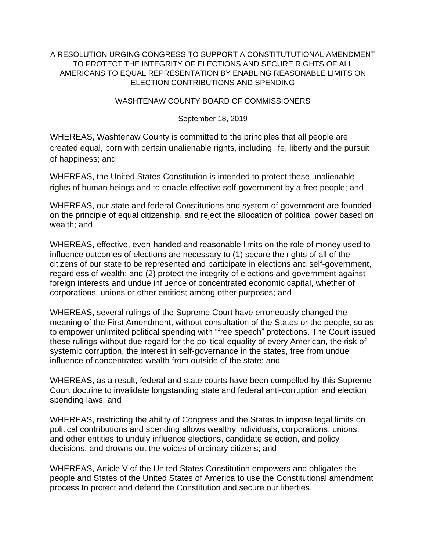## A RESOLUTION URGING CONGRESS TO SUPPORT A CONSTITUTUTIONAL AMENDMENT TO PROTECT THE INTEGRITY OF ELECTIONS AND SECURE RIGHTS OF ALL AMERICANS TO EQUAL REPRESENTATION BY ENABLING REASONABLE LIMITS ON ELECTION CONTRIBUTIONS AND SPENDING

## WASHTENAW COUNTY BOARD OF COMMISSIONERS

## September 18, 2019

WHEREAS, Washtenaw County is committed to the principles that all people are created equal, born with certain unalienable rights, including life, liberty and the pursuit of happiness; and

WHEREAS, the United States Constitution is intended to protect these unalienable rights of human beings and to enable effective self-government by a free people; and

WHEREAS, our state and federal Constitutions and system of government are founded on the principle of equal citizenship, and reject the allocation of political power based on wealth; and

WHEREAS, effective, even-handed and reasonable limits on the role of money used to influence outcomes of elections are necessary to (1) secure the rights of all of the citizens of our state to be represented and participate in elections and self-government, regardless of wealth; and (2) protect the integrity of elections and government against foreign interests and undue influence of concentrated economic capital, whether of corporations, unions or other entities; among other purposes; and

WHEREAS, several rulings of the Supreme Court have erroneously changed the meaning of the First Amendment, without consultation of the States or the people, so as to empower unlimited political spending with "free speech" protections. The Court issued these rulings without due regard for the political equality of every American, the risk of systemic corruption, the interest in self-governance in the states, free from undue influence of concentrated wealth from outside of the state; and

WHEREAS, as a result, federal and state courts have been compelled by this Supreme Court doctrine to invalidate longstanding state and federal anti-corruption and election spending laws; and

WHEREAS, restricting the ability of Congress and the States to impose legal limits on political contributions and spending allows wealthy individuals, corporations, unions, and other entities to unduly influence elections, candidate selection, and policy decisions, and drowns out the voices of ordinary citizens; and

WHEREAS, Article V of the United States Constitution empowers and obligates the people and States of the United States of America to use the Constitutional amendment process to protect and defend the Constitution and secure our liberties.